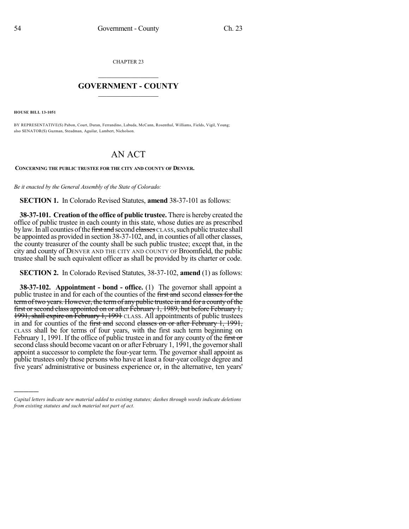CHAPTER 23

## $\mathcal{L}_\text{max}$  . The set of the set of the set of the set of the set of the set of the set of the set of the set of the set of the set of the set of the set of the set of the set of the set of the set of the set of the set **GOVERNMENT - COUNTY**  $\_$

**HOUSE BILL 13-1051**

)))))

BY REPRESENTATIVE(S) Pabon, Court, Duran, Ferrandino, Labuda, McCann, Rosenthal, Williams, Fields, Vigil, Young; also SENATOR(S) Guzman, Steadman, Aguilar, Lambert, Nicholson.

## AN ACT

**CONCERNING THE PUBLIC TRUSTEE FOR THE CITY AND COUNTY OF DENVER.**

*Be it enacted by the General Assembly of the State of Colorado:*

**SECTION 1.** In Colorado Revised Statutes, **amend** 38-37-101 as follows:

**38-37-101. Creation of the office of public trustee.** There is hereby created the office of public trustee in each county in this state, whose duties are as prescribed by law. In all counties of the first and second classes CLASS, such public trustee shall be appointed as provided in section 38-37-102, and, in counties of all other classes, the county treasurer of the county shall be such public trustee; except that, in the city and county of DENVER AND THE CITY AND COUNTY OF Broomfield, the public trustee shall be such equivalent officer as shall be provided by its charter or code.

**SECTION 2.** In Colorado Revised Statutes, 38-37-102, **amend** (1) as follows:

**38-37-102. Appointment - bond - office.** (1) The governor shall appoint a public trustee in and for each of the counties of the first and second classes for the term of two years. However, the term of any public trustee in and for a county of the first or second class appointed on or after February 1, 1989, but before February 1, 1991, shall expire on February 1, 1991 CLASS. All appointments of public trustees in and for counties of the first and second classes on or after February 1, 1991, CLASS shall be for terms of four years, with the first such term beginning on February 1, 1991. If the office of public trustee in and for any county of the first or second class should become vacant on or after February 1, 1991, the governor shall appoint a successor to complete the four-year term. The governor shall appoint as public trustees only those persons who have at least a four-year college degree and five years' administrative or business experience or, in the alternative, ten years'

*Capital letters indicate new material added to existing statutes; dashes through words indicate deletions from existing statutes and such material not part of act.*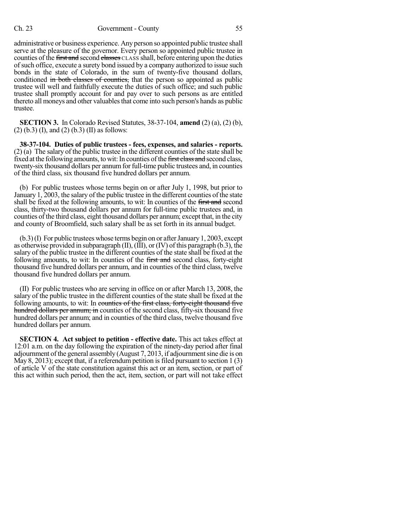## Ch. 23 Government - County 55

administrative or business experience. Any person so appointed public trustee shall serve at the pleasure of the governor. Every person so appointed public trustee in counties of the first and second classes CLASS shall, before entering upon the duties ofsuch office, execute a surety bond issued by a company authorized to issue such bonds in the state of Colorado, in the sum of twenty-five thousand dollars, conditioned in both classes of counties, that the person so appointed as public trustee will well and faithfully execute the duties of such office; and such public trustee shall promptly account for and pay over to such persons as are entitled thereto all moneys and other valuables that come into such person's hands as public trustee.

**SECTION 3.** In Colorado Revised Statutes, 38-37-104, **amend** (2) (a), (2) (b),  $(2)$  (b.3) (I), and (2) (b.3) (II) as follows:

**38-37-104. Duties of public trustees - fees, expenses, and salaries - reports.** (2) (a) The salary of the public trustee in the different counties of the state shall be fixed at the following amounts, to wit: In counties of the first class and second class, twenty-six thousand dollars per annum for full-time public trustees and, in counties of the third class, six thousand five hundred dollars per annum.

(b) For public trustees whose terms begin on or after July 1, 1998, but prior to January 1, 2003, the salary of the public trustee in the different counties of the state shall be fixed at the following amounts, to wit: In counties of the first and second class, thirty-two thousand dollars per annum for full-time public trustees and, in counties of the third class, eight thousand dollars per annum; except that, in the city and county of Broomfield, such salary shall be as set forth in its annual budget.

 $(b.3)(I)$  For public trustees whose terms begin on or after January 1, 2003, except as otherwise provided in subparagraph (II), (III), or (IV) of this paragraph (b.3), the salary of the public trustee in the different counties of the state shall be fixed at the following amounts, to wit: In counties of the first and second class, forty-eight thousand five hundred dollars per annum, and in counties of the third class, twelve thousand five hundred dollars per annum.

(II) For public trustees who are serving in office on or after March 13, 2008, the salary of the public trustee in the different counties of the state shall be fixed at the following amounts, to wit: In counties of the first class, forty-eight thousand five hundred dollars per annum; in counties of the second class, fifty-six thousand five hundred dollars per annum; and in counties of the third class, twelve thousand five hundred dollars per annum.

**SECTION 4. Act subject to petition - effective date.** This act takes effect at 12:01 a.m. on the day following the expiration of the ninety-day period after final adjournment ofthe general assembly (August 7, 2013, if adjournmentsine die is on May 8, 2013); except that, if a referendum petition is filed pursuant to section 1 (3) of article V of the state constitution against this act or an item, section, or part of this act within such period, then the act, item, section, or part will not take effect